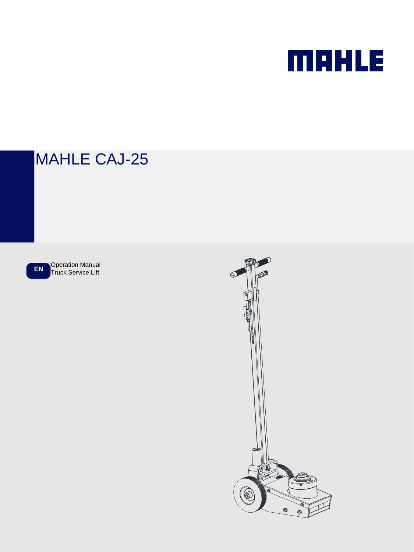# **MAHLE**

## MAHLE CAJ-25

**EN** Operation Manual

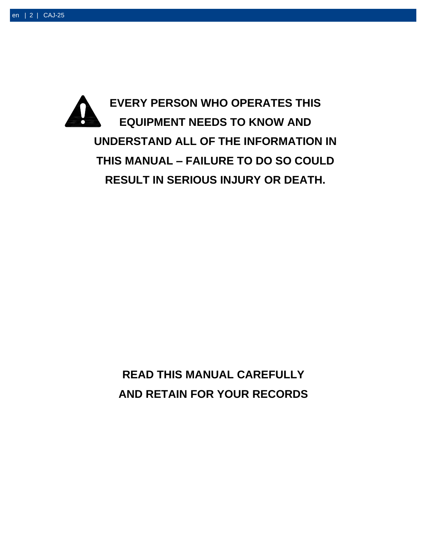

**READ THIS MANUAL CAREFULLY AND RETAIN FOR YOUR RECORDS**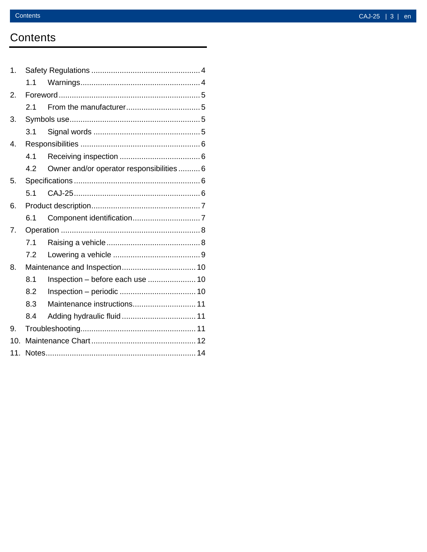### **Contents**

| 1.               |     |                                           |  |
|------------------|-----|-------------------------------------------|--|
|                  | 1.1 |                                           |  |
| 2.               |     |                                           |  |
|                  | 2.1 |                                           |  |
| 3.               |     |                                           |  |
|                  | 3.1 |                                           |  |
| 4.               |     |                                           |  |
|                  | 4.1 |                                           |  |
|                  | 4.2 | Owner and/or operator responsibilities  6 |  |
| 5.               |     |                                           |  |
|                  | 5.1 |                                           |  |
| 6.               |     |                                           |  |
|                  | 6.1 |                                           |  |
| $\overline{7}$ . |     |                                           |  |
|                  | 7.1 |                                           |  |
|                  | 7.2 |                                           |  |
| 8.               |     |                                           |  |
|                  | 8.1 | Inspection - before each use  10          |  |
|                  | 8.2 |                                           |  |
|                  | 8.3 | Maintenance instructions 11               |  |
|                  | 8.4 |                                           |  |
| 9.               |     |                                           |  |
| 10.              |     |                                           |  |
| 11.              |     |                                           |  |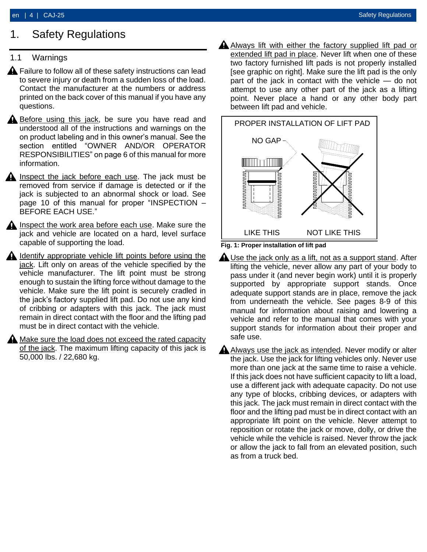### <span id="page-3-0"></span>1. Safety Regulations

#### <span id="page-3-1"></span>1.1 Warnings

- **A** Failure to follow all of these safety instructions can lead to severe injury or death from a sudden loss of the load. Contact the manufacturer at the numbers or address printed on the back cover of this manual if you have any questions.
- $\triangle$  Before using this jack, be sure you have read and understood all of the instructions and warnings on the on product labeling and in this owner's manual. See the section entitled "OWNER AND/OR OPERATOR RESPONSIBILITIES" on page 6 of this manual for more information.
- **A** Inspect the jack before each use. The jack must be removed from service if damage is detected or if the jack is subjected to an abnormal shock or load. See page 10 of this manual for proper "INSPECTION – BEFORE EACH USE."
- $\triangle$  Inspect the work area before each use. Make sure the jack and vehicle are located on a hard, level surface capable of supporting the load.
- $\triangle$  Identify appropriate vehicle lift points before using the jack. Lift only on areas of the vehicle specified by the vehicle manufacturer. The lift point must be strong enough to sustain the lifting force without damage to the vehicle. Make sure the lift point is securely cradled in the jack's factory supplied lift pad. Do not use any kind of cribbing or adapters with this jack. The jack must remain in direct contact with the floor and the lifting pad must be in direct contact with the vehicle.
- **A** Make sure the load does not exceed the rated capacity of the jack. The maximum lifting capacity of this jack is 50,000 lbs. / 22,680 kg.

A Always lift with either the factory supplied lift pad or extended lift pad in place. Never lift when one of these two factory furnished lift pads is not properly installed [see graphic on right]. Make sure the lift pad is the only part of the jack in contact with the vehicle — do not attempt to use any other part of the jack as a lifting point. Never place a hand or any other body part between lift pad and vehicle.



- **Fig. 1: Proper installation of lift pad**
- $\triangle$  Use the jack only as a lift, not as a support stand. After lifting the vehicle, never allow any part of your body to pass under it (and never begin work) until it is properly supported by appropriate support stands. Once adequate support stands are in place, remove the jack from underneath the vehicle. See pages 8-9 of this manual for information about raising and lowering a vehicle and refer to the manual that comes with your support stands for information about their proper and safe use.
- $\triangle$  Always use the jack as intended. Never modify or alter the jack. Use the jack for lifting vehicles only. Never use more than one jack at the same time to raise a vehicle. If this jack does not have sufficient capacity to lift a load, use a different jack with adequate capacity. Do not use any type of blocks, cribbing devices, or adapters with this jack. The jack must remain in direct contact with the floor and the lifting pad must be in direct contact with an appropriate lift point on the vehicle. Never attempt to reposition or rotate the jack or move, dolly, or drive the vehicle while the vehicle is raised. Never throw the jack or allow the jack to fall from an elevated position, such as from a truck bed.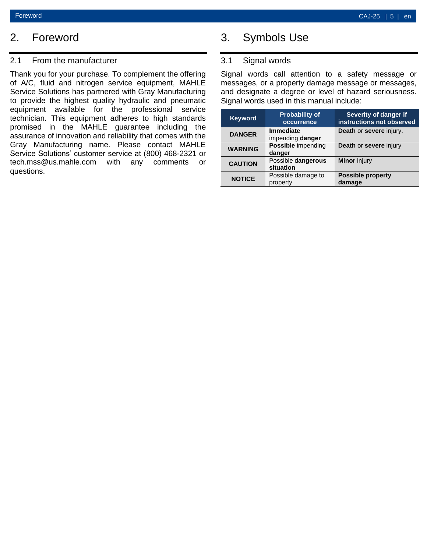### <span id="page-4-0"></span>2. Foreword

#### <span id="page-4-1"></span>2.1 From the manufacturer

Thank you for your purchase. To complement the offering of A/C, fluid and nitrogen service equipment, MAHLE Service Solutions has partnered with Gray Manufacturing to provide the highest quality hydraulic and pneumatic equipment available for the professional service technician. This equipment adheres to high standards promised in the MAHLE guarantee including the assurance of innovation and reliability that comes with the Gray Manufacturing name. Please contact MAHLE Service Solutions' customer service at (800) 468-2321 or tech.mss@us.mahle.com with any comments or questions.

### <span id="page-4-2"></span>3. Symbols Use

#### <span id="page-4-3"></span>3.1 Signal words

Signal words call attention to a safety message or messages, or a property damage message or messages, and designate a degree or level of hazard seriousness. Signal words used in this manual include:

| <b>Keyword</b> | <b>Probability of</b><br>occurrence  | <b>Severity of danger if</b><br>instructions not observed |
|----------------|--------------------------------------|-----------------------------------------------------------|
| <b>DANGER</b>  | <b>Immediate</b><br>impending danger | Death or severe injury.                                   |
| <b>WARNING</b> | Possible impending<br>danger         | Death or severe injury                                    |
| <b>CAUTION</b> | Possible dangerous<br>situation      | <b>Minor</b> injury                                       |
| <b>NOTICE</b>  | Possible damage to<br>property       | <b>Possible property</b><br>damage                        |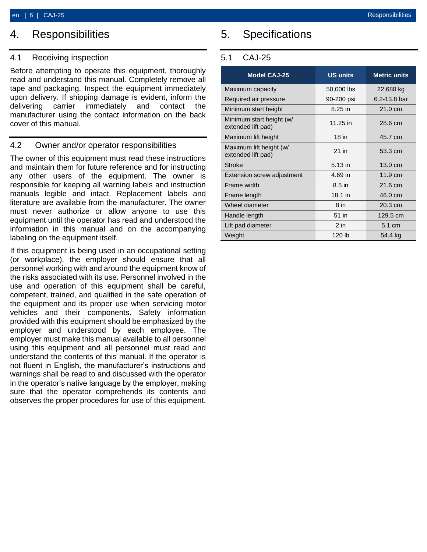### <span id="page-5-0"></span>4. Responsibilities

#### <span id="page-5-1"></span>4.1 Receiving inspection

Before attempting to operate this equipment, thoroughly read and understand this manual. Completely remove all tape and packaging. Inspect the equipment immediately upon delivery. If shipping damage is evident, inform the delivering carrier immediately and contact the manufacturer using the contact information on the back cover of this manual.

#### <span id="page-5-2"></span>4.2 Owner and/or operator responsibilities

The owner of this equipment must read these instructions and maintain them for future reference and for instructing any other users of the equipment. The owner is responsible for keeping all warning labels and instruction manuals legible and intact. Replacement labels and literature are available from the manufacturer. The owner must never authorize or allow anyone to use this equipment until the operator has read and understood the information in this manual and on the accompanying labeling on the equipment itself.

If this equipment is being used in an occupational setting (or workplace), the employer should ensure that all personnel working with and around the equipment know of the risks associated with its use. Personnel involved in the use and operation of this equipment shall be careful, competent, trained, and qualified in the safe operation of the equipment and its proper use when servicing motor vehicles and their components. Safety information provided with this equipment should be emphasized by the employer and understood by each employee. The employer must make this manual available to all personnel using this equipment and all personnel must read and understand the contents of this manual. If the operator is not fluent in English, the manufacturer's instructions and warnings shall be read to and discussed with the operator in the operator's native language by the employer, making sure that the operator comprehends its contents and observes the proper procedures for use of this equipment.

### <span id="page-5-3"></span>5. Specifications

#### <span id="page-5-4"></span>5.1 CAJ-25

| <b>Model CAJ-25</b>                            | <b>US units</b>   | <b>Metric units</b> |
|------------------------------------------------|-------------------|---------------------|
| Maximum capacity                               | 50,000 lbs        | 22,680 kg           |
| Required air pressure                          | 90-200 psi        | $6.2 - 13.8$ bar    |
| Minimum start height                           | 8.25 in           | $21.0 \text{ cm}$   |
| Minimum start height (w/<br>extended lift pad) | 11.25 in          | 28.6 cm             |
| Maximum lift height                            | 18 in             | 45.7 cm             |
| Maximum lift height (w/<br>extended lift pad)  | $21$ in           | 53.3 cm             |
| <b>Stroke</b>                                  | $5.13$ in         | $13.0 \text{ cm}$   |
| <b>Extension screw adjustment</b>              | 4.69 in           | $11.9 \text{ cm}$   |
| Frame width                                    | 8.5 in            | 21.6 cm             |
| Frame length                                   | $18.1$ in         | 46.0 cm             |
| Wheel diameter                                 | 8 <sub>in</sub>   | $20.3 \text{ cm}$   |
| Handle length                                  | 51 in             | 129.5 cm            |
| Lift pad diameter                              | $2$ in            | 5.1 cm              |
| Weight                                         | 120 <sub>1b</sub> | 54.4 kg             |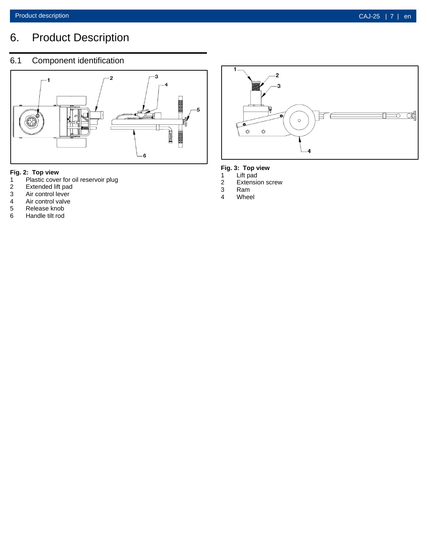### <span id="page-6-0"></span>6. Product Description

### <span id="page-6-1"></span>6.1 Component identification



### **Fig. 2: Top view**

- 1 Plastic cover for oil reservoir plug<br>2 Extended lift pad
- 2 Extended lift pad<br>3 Air control lever
- 3 Air control lever<br>4 Air control valve<br>5 Release knob
- Air control valve
- 
- 5 Release knob<br>6 Handle tilt rod 6 Handle tilt rod



#### **Fig. 3: Top view**

- 1 Lift pad
- 1 Lift pad<br>2 Extension screw<br>3 Ram
- 3 Ram<br>4 Whee
- Wheel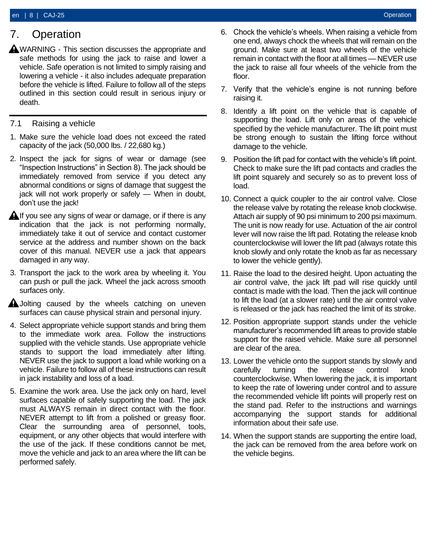### <span id="page-7-0"></span>7. Operation

- $\triangle$  WARNING This section discusses the appropriate and safe methods for using the jack to raise and lower a vehicle. Safe operation is not limited to simply raising and lowering a vehicle - it also includes adequate preparation before the vehicle is lifted. Failure to follow all of the steps outlined in this section could result in serious injury or death.
- <span id="page-7-1"></span>7.1 Raising a vehicle
- 1. Make sure the vehicle load does not exceed the rated capacity of the jack (50,000 lbs. / 22,680 kg.)
- 2. Inspect the jack for signs of wear or damage (see "Inspection Instructions" in Section 8). The jack should be immediately removed from service if you detect any abnormal conditions or signs of damage that suggest the jack will not work properly or safely — When in doubt, don't use the jack!
- $\bigtriangleup$  If you see any signs of wear or damage, or if there is any indication that the jack is not performing normally, immediately take it out of service and contact customer service at the address and number shown on the back cover of this manual. NEVER use a jack that appears damaged in any way.
- 3. Transport the jack to the work area by wheeling it. You can push or pull the jack. Wheel the jack across smooth surfaces only.
- **A** Jolting caused by the wheels catching on uneven surfaces can cause physical strain and personal injury.
- 4. Select appropriate vehicle support stands and bring them to the immediate work area. Follow the instructions supplied with the vehicle stands. Use appropriate vehicle stands to support the load immediately after lifting. NEVER use the jack to support a load while working on a vehicle. Failure to follow all of these instructions can result in jack instability and loss of a load.
- 5. Examine the work area. Use the jack only on hard, level surfaces capable of safely supporting the load. The jack must ALWAYS remain in direct contact with the floor. NEVER attempt to lift from a polished or greasy floor. Clear the surrounding area of personnel, tools, equipment, or any other objects that would interfere with the use of the jack. If these conditions cannot be met, move the vehicle and jack to an area where the lift can be performed safely.
- 6. Chock the vehicle's wheels. When raising a vehicle from one end, always chock the wheels that will remain on the ground. Make sure at least two wheels of the vehicle remain in contact with the floor at all times — NEVER use the jack to raise all four wheels of the vehicle from the floor.
- 7. Verify that the vehicle's engine is not running before raising it.
- 8. Identify a lift point on the vehicle that is capable of supporting the load. Lift only on areas of the vehicle specified by the vehicle manufacturer. The lift point must be strong enough to sustain the lifting force without damage to the vehicle.
- 9. Position the lift pad for contact with the vehicle's lift point. Check to make sure the lift pad contacts and cradles the lift point squarely and securely so as to prevent loss of load.
- 10. Connect a quick coupler to the air control valve. Close the release valve by rotating the release knob clockwise. Attach air supply of 90 psi minimum to 200 psi maximum. The unit is now ready for use. Actuation of the air control lever will now raise the lift pad. Rotating the release knob counterclockwise will lower the lift pad (always rotate this knob slowly and only rotate the knob as far as necessary to lower the vehicle gently).
- 11. Raise the load to the desired height. Upon actuating the air control valve, the jack lift pad will rise quickly until contact is made with the load. Then the jack will continue to lift the load (at a slower rate) until the air control valve is released or the jack has reached the limit of its stroke.
- 12. Position appropriate support stands under the vehicle manufacturer's recommended lift areas to provide stable support for the raised vehicle. Make sure all personnel are clear of the area.
- 13. Lower the vehicle onto the support stands by slowly and carefully turning the release control knob counterclockwise. When lowering the jack, it is important to keep the rate of lowering under control and to assure the recommended vehicle lift points will properly rest on the stand pad. Refer to the instructions and warnings accompanying the support stands for additional information about their safe use.
- 14. When the support stands are supporting the entire load, the jack can be removed from the area before work on the vehicle begins.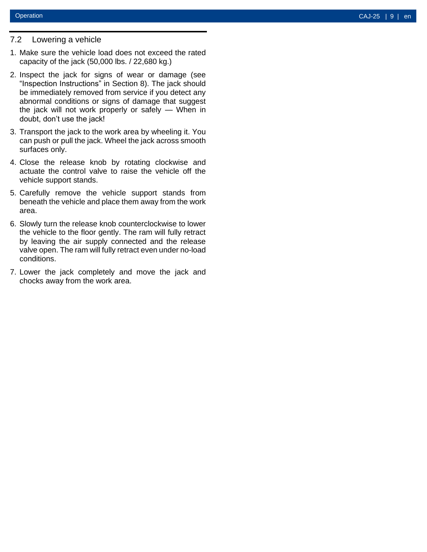#### <span id="page-8-0"></span>7.2 Lowering a vehicle

- 1. Make sure the vehicle load does not exceed the rated capacity of the jack (50,000 lbs. / 22,680 kg.)
- 2. Inspect the jack for signs of wear or damage (see "Inspection Instructions" in Section 8). The jack should be immediately removed from service if you detect any abnormal conditions or signs of damage that suggest the jack will not work properly or safely — When in doubt, don't use the jack!
- 3. Transport the jack to the work area by wheeling it. You can push or pull the jack. Wheel the jack across smooth surfaces only.
- 4. Close the release knob by rotating clockwise and actuate the control valve to raise the vehicle off the vehicle support stands.
- 5. Carefully remove the vehicle support stands from beneath the vehicle and place them away from the work area.
- 6. Slowly turn the release knob counterclockwise to lower the vehicle to the floor gently. The ram will fully retract by leaving the air supply connected and the release valve open. The ram will fully retract even under no -load conditions.
- 7. Lower the jack completely and move the jack and chocks away from the work area.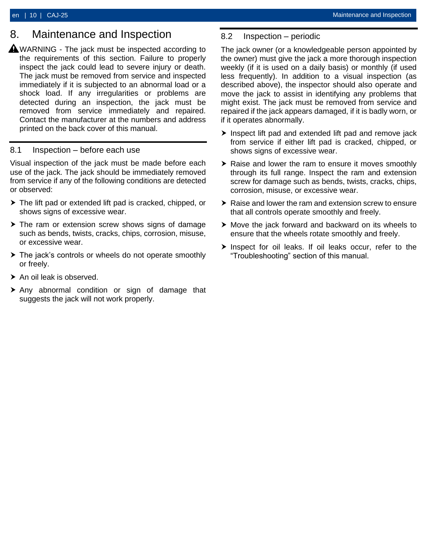### <span id="page-9-0"></span>8. Maintenance and Inspection

 $\triangle$  WARNING - The jack must be inspected according to the requirements of this section. Failure to properly inspect the jack could lead to severe injury or death. The jack must be removed from service and inspected immediately if it is subjected to an abnormal load or a shock load. If any irregularities or problems are detected during an inspection, the jack must be removed from service immediately and repaired. Contact the manufacturer at the numbers and address printed on the back cover of this manual.

#### <span id="page-9-1"></span>8.1 Inspection – before each use

Visual inspection of the jack must be made before each use of the jack. The jack should be immediately removed from service if any of the following conditions are detected or observed:

- The lift pad or extended lift pad is cracked, chipped, or shows signs of excessive wear.
- ▶ The ram or extension screw shows signs of damage such as bends, twists, cracks, chips, corrosion, misuse, or excessive wear.
- ▶ The jack's controls or wheels do not operate smoothly or freely.
- $\triangleright$  An oil leak is observed.
- Any abnormal condition or sign of damage that suggests the jack will not work properly.

#### <span id="page-9-2"></span>8.2 Inspection – periodic

The jack owner (or a knowledgeable person appointed by the owner) must give the jack a more thorough inspection weekly (if it is used on a daily basis) or monthly (if used less frequently). In addition to a visual inspection (as described above), the inspector should also operate and move the jack to assist in identifying any problems that might exist. The jack must be removed from service and repaired if the jack appears damaged, if it is badly worn, or if it operates abnormally.

- $\blacktriangleright$  Inspect lift pad and extended lift pad and remove jack from service if either lift pad is cracked, chipped, or shows signs of excessive wear.
- ▶ Raise and lower the ram to ensure it moves smoothly through its full range. Inspect the ram and extension screw for damage such as bends, twists, cracks, chips, corrosion, misuse, or excessive wear.
- ▶ Raise and lower the ram and extension screw to ensure that all controls operate smoothly and freely.
- ▶ Move the jack forward and backward on its wheels to ensure that the wheels rotate smoothly and freely.
- $\triangleright$  Inspect for oil leaks. If oil leaks occur, refer to the "Troubleshooting" section of this manual.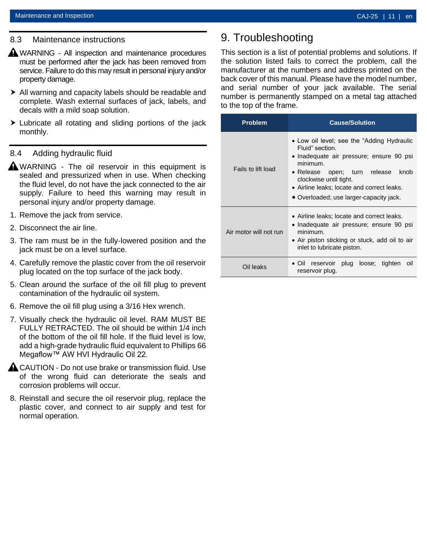#### <span id="page-10-0"></span>8.3 Maintenance instructions

- **A** WARNING All inspection and maintenance procedures must be performed after the jack has been removed from service. Failure to do this may result in personal injury and/or property damage.
- All warning and capacity labels should be readable and complete. Wash external surfaces of jack, labels, and decals with a mild soap solution.
- $\triangleright$  Lubricate all rotating and sliding portions of the jack monthly.

#### <span id="page-10-1"></span>8.4 Adding hydraulic fluid

- **A**WARNING The oil reservoir in this equipment is sealed and pressurized when in use. When checking the fluid level, do not have the jack connected to the air supply. Failure to heed this warning may result in personal injury and/or property damage.
- 1. Remove the jack from service.
- 2. Disconnect the air line.
- 3. The ram must be in the fully-lowered position and the jack must be on a level surface.
- 4. Carefully remove the plastic cover from the oil reservoir plug located on the top surface of the jack body.
- 5. Clean around the surface of the oil fill plug to prevent contamination of the hydraulic oil system.
- 6. Remove the oil fill plug using a 3/16 Hex wrench.
- 7. Visually check the hydraulic oil level. RAM MUST BE FULLY RETRACTED. The oil should be within 1/4 inch of the bottom of the oil fill hole. If the fluid level is low, add a high-grade hydraulic fluid equivalent to Phillips 66 Megaflow™ AW HVI Hydraulic Oil 22.
- **A CAUTION Do not use brake or transmission fluid. Use** of the wrong fluid can deteriorate the seals and corrosion problems will occur.
- 8. Reinstall and secure the oil reservoir plug, replace the plastic cover, and connect to air supply and test for normal operation.

### <span id="page-10-2"></span>9. Troubleshooting

This section is a list of potential problems and solutions. If the solution listed fails to correct the problem, call the manufacturer at the numbers and address printed on the back cover of this manual. Please have the model number, and serial number of your jack available. The serial number is permanently stamped on a metal tag attached to the top of the frame.

| <b>Problem</b>         | <b>Cause/Solution</b>                                                                                                                                                                                                                                                                       |
|------------------------|---------------------------------------------------------------------------------------------------------------------------------------------------------------------------------------------------------------------------------------------------------------------------------------------|
| Fails to lift load     | • Low oil level; see the "Adding Hydraulic<br>Fluid" section.<br>• Inadequate air pressure; ensure 90 psi<br>minimum.<br>$\bullet$ Release<br>open; turn release<br>knob<br>clockwise until tight.<br>• Airline leaks; locate and correct leaks.<br>• Overloaded; use larger-capacity jack. |
| Air motor will not run | • Airline leaks; locate and correct leaks.<br>• Inadequate air pressure; ensure 90 psi<br>minimum.<br>• Air piston sticking or stuck, add oil to air<br>inlet to lubricate piston.                                                                                                          |
| Oil leaks              | reservoir plug loose; tighten<br>$\bullet$ Oil<br>oil<br>reservoir plug.                                                                                                                                                                                                                    |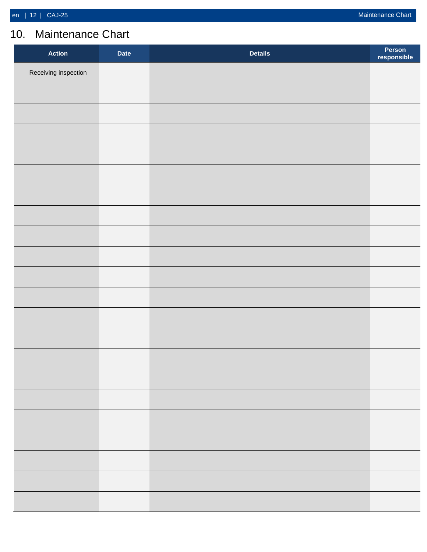### <span id="page-11-0"></span>10. Maintenance Chart

| <b>Action</b>        | <b>Date</b> | <b>Details</b> | Person<br>responsible |
|----------------------|-------------|----------------|-----------------------|
| Receiving inspection |             |                |                       |
|                      |             |                |                       |
|                      |             |                |                       |
|                      |             |                |                       |
|                      |             |                |                       |
|                      |             |                |                       |
|                      |             |                |                       |
|                      |             |                |                       |
|                      |             |                |                       |
|                      |             |                |                       |
|                      |             |                |                       |
|                      |             |                |                       |
|                      |             |                |                       |
|                      |             |                |                       |
|                      |             |                |                       |
|                      |             |                |                       |
|                      |             |                |                       |
|                      |             |                |                       |
|                      |             |                |                       |
|                      |             |                |                       |
|                      |             |                |                       |
|                      |             |                |                       |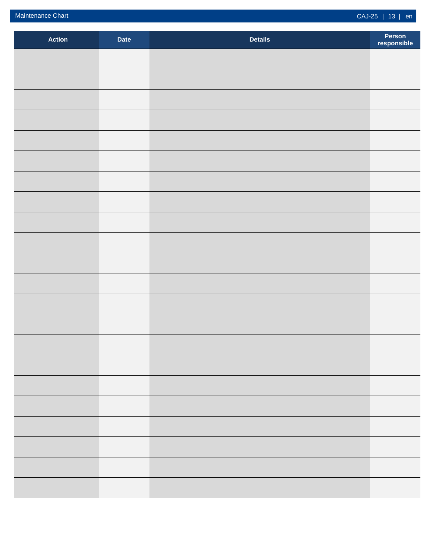| <b>Action</b> | <b>Date</b> | <b>Details</b> | Person<br>responsible |
|---------------|-------------|----------------|-----------------------|
|               |             |                |                       |
|               |             |                |                       |
|               |             |                |                       |
|               |             |                |                       |
|               |             |                |                       |
|               |             |                |                       |
|               |             |                |                       |
|               |             |                |                       |
|               |             |                |                       |
|               |             |                |                       |
|               |             |                |                       |
|               |             |                |                       |
|               |             |                |                       |
|               |             |                |                       |
|               |             |                |                       |
|               |             |                |                       |
|               |             |                |                       |
|               |             |                |                       |
|               |             |                |                       |
|               |             |                |                       |
|               |             |                |                       |
|               |             |                |                       |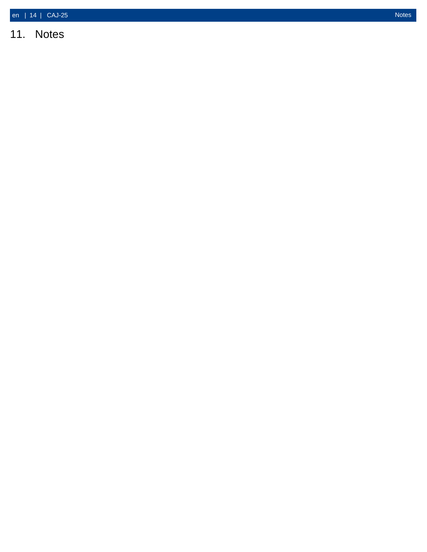<span id="page-13-0"></span>11. Notes